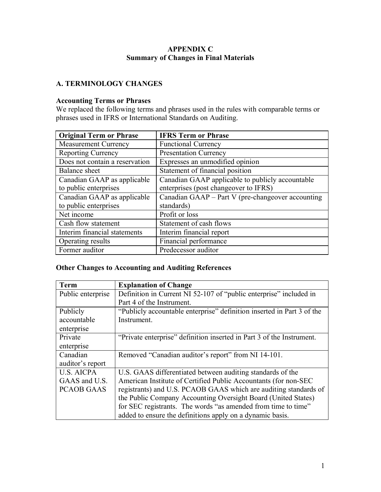#### **APPENDIX C Summary of Changes in Final Materials**

### **A. TERMINOLOGY CHANGES**

### **Accounting Terms or Phrases**

We replaced the following terms and phrases used in the rules with comparable terms or phrases used in IFRS or International Standards on Auditing.

| <b>Original Term or Phrase</b> | <b>IFRS Term or Phrase</b>                        |
|--------------------------------|---------------------------------------------------|
| <b>Measurement Currency</b>    | <b>Functional Currency</b>                        |
| <b>Reporting Currency</b>      | <b>Presentation Currency</b>                      |
| Does not contain a reservation | Expresses an unmodified opinion                   |
| Balance sheet                  | Statement of financial position                   |
| Canadian GAAP as applicable    | Canadian GAAP applicable to publicly accountable  |
| to public enterprises          | enterprises (post changeover to IFRS)             |
| Canadian GAAP as applicable    | Canadian GAAP – Part V (pre-changeover accounting |
| to public enterprises          | standards)                                        |
| Net income                     | Profit or loss                                    |
| Cash flow statement            | Statement of cash flows                           |
| Interim financial statements   | Interim financial report                          |
| Operating results              | Financial performance                             |
| Former auditor                 | Predecessor auditor                               |

## **Other Changes to Accounting and Auditing References**

| <b>Term</b>       | <b>Explanation of Change</b>                                           |
|-------------------|------------------------------------------------------------------------|
| Public enterprise | Definition in Current NI 52-107 of "public enterprise" included in     |
|                   | Part 4 of the Instrument.                                              |
| Publicly          | "Publicly accountable enterprise" definition inserted in Part 3 of the |
| accountable       | Instrument.                                                            |
| enterprise        |                                                                        |
| Private           | "Private enterprise" definition inserted in Part 3 of the Instrument.  |
| enterprise        |                                                                        |
| Canadian          | Removed "Canadian auditor's report" from NI 14-101.                    |
| auditor's report  |                                                                        |
| <b>U.S. AICPA</b> | U.S. GAAS differentiated between auditing standards of the             |
| GAAS and U.S.     | American Institute of Certified Public Accountants (for non-SEC        |
| <b>PCAOB GAAS</b> | registrants) and U.S. PCAOB GAAS which are auditing standards of       |
|                   | the Public Company Accounting Oversight Board (United States)          |
|                   | for SEC registrants. The words "as amended from time to time"          |
|                   | added to ensure the definitions apply on a dynamic basis.              |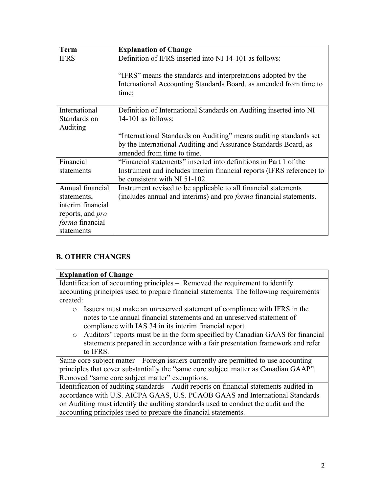| <b>Term</b>             | <b>Explanation of Change</b>                                              |
|-------------------------|---------------------------------------------------------------------------|
| <b>IFRS</b>             | Definition of IFRS inserted into NI 14-101 as follows:                    |
|                         | "IFRS" means the standards and interpretations adopted by the             |
|                         | International Accounting Standards Board, as amended from time to         |
|                         | time;                                                                     |
|                         |                                                                           |
| International           | Definition of International Standards on Auditing inserted into NI        |
| Standards on            | $14-101$ as follows:                                                      |
| Auditing                |                                                                           |
|                         | "International Standards on Auditing" means auditing standards set        |
|                         | by the International Auditing and Assurance Standards Board, as           |
|                         | amended from time to time.                                                |
| Financial               | "Financial statements" inserted into definitions in Part 1 of the         |
| statements              | Instrument and includes interim financial reports (IFRS reference) to     |
|                         | be consistent with NI 51-102.                                             |
| Annual financial        | Instrument revised to be applicable to all financial statements           |
| statements,             | (includes annual and interims) and pro <i>forma</i> financial statements. |
| interim financial       |                                                                           |
| reports, and <i>pro</i> |                                                                           |
| forma financial         |                                                                           |
| statements              |                                                                           |

# **B. OTHER CHANGES**

#### **Explanation of Change**

Identification of accounting principles – Removed the requirement to identify accounting principles used to prepare financial statements. The following requirements created:

- o Issuers must make an unreserved statement of compliance with IFRS in the notes to the annual financial statements and an unreserved statement of compliance with IAS 34 in its interim financial report.
- o Auditors' reports must be in the form specified by Canadian GAAS for financial statements prepared in accordance with a fair presentation framework and refer to IFRS.

Same core subject matter – Foreign issuers currently are permitted to use accounting principles that cover substantially the "same core subject matter as Canadian GAAP". Removed "same core subject matter" exemptions.

Identification of auditing standards – Audit reports on financial statements audited in accordance with U.S. AICPA GAAS, U.S. PCAOB GAAS and International Standards on Auditing must identify the auditing standards used to conduct the audit and the accounting principles used to prepare the financial statements.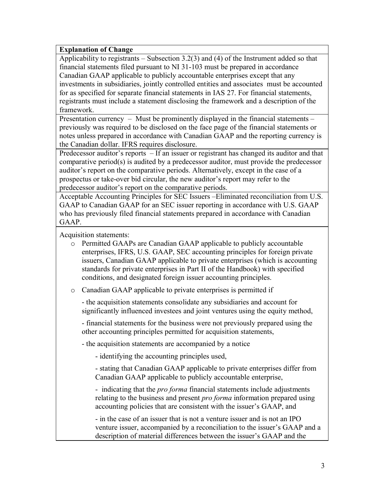#### **Explanation of Change**

Applicability to registrants – Subsection 3.2(3) and (4) of the Instrument added so that financial statements filed pursuant to NI 31-103 must be prepared in accordance Canadian GAAP applicable to publicly accountable enterprises except that any investments in subsidiaries, jointly controlled entities and associates must be accounted for as specified for separate financial statements in IAS 27. For financial statements, registrants must include a statement disclosing the framework and a description of the framework.

Presentation currency – Must be prominently displayed in the financial statements – previously was required to be disclosed on the face page of the financial statements or notes unless prepared in accordance with Canadian GAAP and the reporting currency is the Canadian dollar. IFRS requires disclosure.

Predecessor auditor's reports – If an issuer or registrant has changed its auditor and that comparative period(s) is audited by a predecessor auditor, must provide the predecessor auditor's report on the comparative periods. Alternatively, except in the case of a prospectus or take-over bid circular, the new auditor's report may refer to the predecessor auditor's report on the comparative periods.

Acceptable Accounting Principles for SEC Issuers –Eliminated reconciliation from U.S. GAAP to Canadian GAAP for an SEC issuer reporting in accordance with U.S. GAAP who has previously filed financial statements prepared in accordance with Canadian GAAP.

Acquisition statements:

o Permitted GAAPs are Canadian GAAP applicable to publicly accountable enterprises, IFRS, U.S. GAAP, SEC accounting principles for foreign private issuers, Canadian GAAP applicable to private enterprises (which is accounting standards for private enterprises in Part II of the Handbook) with specified conditions, and designated foreign issuer accounting principles.

o Canadian GAAP applicable to private enterprises is permitted if

- the acquisition statements consolidate any subsidiaries and account for significantly influenced investees and joint ventures using the equity method,

- financial statements for the business were not previously prepared using the other accounting principles permitted for acquisition statements,

- the acquisition statements are accompanied by a notice

- identifying the accounting principles used,

- stating that Canadian GAAP applicable to private enterprises differ from Canadian GAAP applicable to publicly accountable enterprise,

- indicating that the *pro forma* financial statements include adjustments relating to the business and present *pro forma* information prepared using accounting policies that are consistent with the issuer's GAAP, and

- in the case of an issuer that is not a venture issuer and is not an IPO venture issuer, accompanied by a reconciliation to the issuer's GAAP and a description of material differences between the issuer's GAAP and the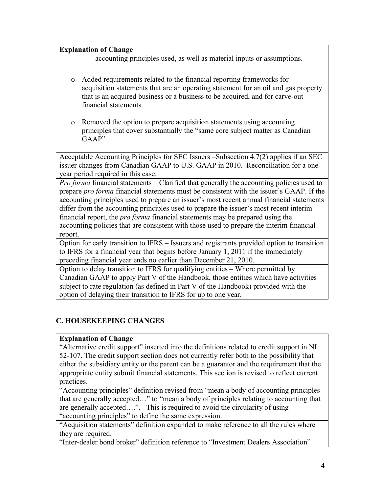#### **Explanation of Change**

accounting principles used, as well as material inputs or assumptions.

- o Added requirements related to the financial reporting frameworks for acquisition statements that are an operating statement for an oil and gas property that is an acquired business or a business to be acquired, and for carve-out financial statements.
- o Removed the option to prepare acquisition statements using accounting principles that cover substantially the "same core subject matter as Canadian GAAP".

Acceptable Accounting Principles for SEC Issuers –Subsection 4.7(2) applies if an SEC issuer changes from Canadian GAAP to U.S. GAAP in 2010. Reconciliation for a oneyear period required in this case.

*Pro forma* financial statements – Clarified that generally the accounting policies used to prepare *pro forma* financial statements must be consistent with the issuer's GAAP. If the accounting principles used to prepare an issuer's most recent annual financial statements differ from the accounting principles used to prepare the issuer's most recent interim financial report, the *pro forma* financial statements may be prepared using the accounting policies that are consistent with those used to prepare the interim financial report.

Option for early transition to IFRS – Issuers and registrants provided option to transition to IFRS for a financial year that begins before January 1, 2011 if the immediately preceding financial year ends no earlier than December 21, 2010.

Option to delay transition to IFRS for qualifying entities – Where permitted by Canadian GAAP to apply Part V of the Handbook, those entities which have activities subject to rate regulation (as defined in Part V of the Handbook) provided with the option of delaying their transition to IFRS for up to one year.

# **C. HOUSEKEEPING CHANGES**

### **Explanation of Change**

"Alternative credit support" inserted into the definitions related to credit support in NI 52-107. The credit support section does not currently refer both to the possibility that either the subsidiary entity or the parent can be a guarantor and the requirement that the appropriate entity submit financial statements. This section is revised to reflect current practices.

"Accounting principles" definition revised from "mean a body of accounting principles that are generally accepted…" to "mean a body of principles relating to accounting that are generally accepted….". This is required to avoid the circularity of using "accounting principles" to define the same expression.

"Acquisition statements" definition expanded to make reference to all the rules where they are required.

"Inter-dealer bond broker" definition reference to "Investment Dealers Association"